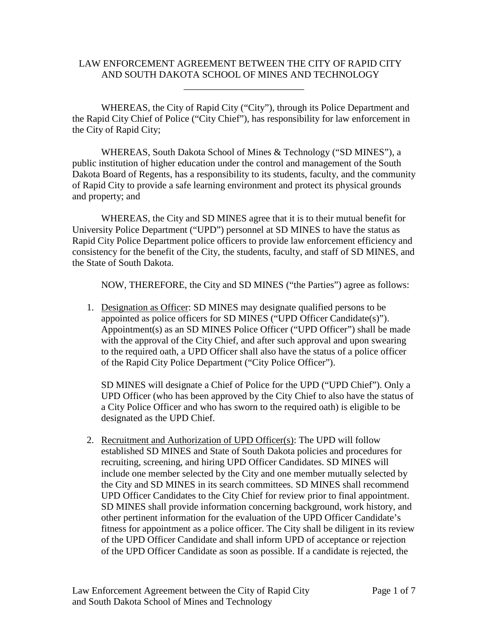## LAW ENFORCEMENT AGREEMENT BETWEEN THE CITY OF RAPID CITY AND SOUTH DAKOTA SCHOOL OF MINES AND TECHNOLOGY

\_\_\_\_\_\_\_\_\_\_\_\_\_\_\_\_\_\_\_\_\_\_\_\_\_

WHEREAS, the City of Rapid City ("City"), through its Police Department and the Rapid City Chief of Police ("City Chief"), has responsibility for law enforcement in the City of Rapid City;

WHEREAS, South Dakota School of Mines & Technology ("SD MINES"), a public institution of higher education under the control and management of the South Dakota Board of Regents, has a responsibility to its students, faculty, and the community of Rapid City to provide a safe learning environment and protect its physical grounds and property; and

WHEREAS, the City and SD MINES agree that it is to their mutual benefit for University Police Department ("UPD") personnel at SD MINES to have the status as Rapid City Police Department police officers to provide law enforcement efficiency and consistency for the benefit of the City, the students, faculty, and staff of SD MINES, and the State of South Dakota.

NOW, THEREFORE, the City and SD MINES ("the Parties") agree as follows:

1. Designation as Officer: SD MINES may designate qualified persons to be appointed as police officers for SD MINES ("UPD Officer Candidate(s)"). Appointment(s) as an SD MINES Police Officer ("UPD Officer") shall be made with the approval of the City Chief, and after such approval and upon swearing to the required oath, a UPD Officer shall also have the status of a police officer of the Rapid City Police Department ("City Police Officer").

SD MINES will designate a Chief of Police for the UPD ("UPD Chief"). Only a UPD Officer (who has been approved by the City Chief to also have the status of a City Police Officer and who has sworn to the required oath) is eligible to be designated as the UPD Chief.

2. Recruitment and Authorization of UPD Officer(s): The UPD will follow established SD MINES and State of South Dakota policies and procedures for recruiting, screening, and hiring UPD Officer Candidates. SD MINES will include one member selected by the City and one member mutually selected by the City and SD MINES in its search committees. SD MINES shall recommend UPD Officer Candidates to the City Chief for review prior to final appointment. SD MINES shall provide information concerning background, work history, and other pertinent information for the evaluation of the UPD Officer Candidate's fitness for appointment as a police officer. The City shall be diligent in its review of the UPD Officer Candidate and shall inform UPD of acceptance or rejection of the UPD Officer Candidate as soon as possible. If a candidate is rejected, the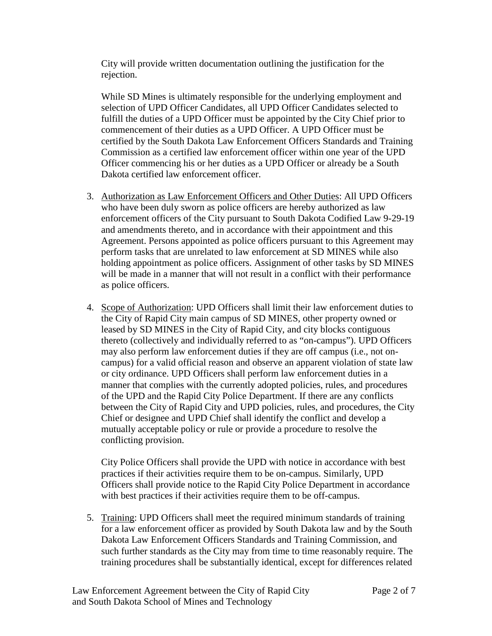City will provide written documentation outlining the justification for the rejection.

While SD Mines is ultimately responsible for the underlying employment and selection of UPD Officer Candidates, all UPD Officer Candidates selected to fulfill the duties of a UPD Officer must be appointed by the City Chief prior to commencement of their duties as a UPD Officer. A UPD Officer must be certified by the South Dakota Law Enforcement Officers Standards and Training Commission as a certified law enforcement officer within one year of the UPD Officer commencing his or her duties as a UPD Officer or already be a South Dakota certified law enforcement officer.

- 3. Authorization as Law Enforcement Officers and Other Duties: All UPD Officers who have been duly sworn as police officers are hereby authorized as law enforcement officers of the City pursuant to South Dakota Codified Law 9-29-19 and amendments thereto, and in accordance with their appointment and this Agreement. Persons appointed as police officers pursuant to this Agreement may perform tasks that are unrelated to law enforcement at SD MINES while also holding appointment as police officers. Assignment of other tasks by SD MINES will be made in a manner that will not result in a conflict with their performance as police officers.
- 4. Scope of Authorization: UPD Officers shall limit their law enforcement duties to the City of Rapid City main campus of SD MINES, other property owned or leased by SD MINES in the City of Rapid City, and city blocks contiguous thereto (collectively and individually referred to as "on-campus"). UPD Officers may also perform law enforcement duties if they are off campus (i.e., not oncampus) for a valid official reason and observe an apparent violation of state law or city ordinance. UPD Officers shall perform law enforcement duties in a manner that complies with the currently adopted policies, rules, and procedures of the UPD and the Rapid City Police Department. If there are any conflicts between the City of Rapid City and UPD policies, rules, and procedures, the City Chief or designee and UPD Chief shall identify the conflict and develop a mutually acceptable policy or rule or provide a procedure to resolve the conflicting provision.

City Police Officers shall provide the UPD with notice in accordance with best practices if their activities require them to be on-campus. Similarly, UPD Officers shall provide notice to the Rapid City Police Department in accordance with best practices if their activities require them to be off-campus.

5. Training: UPD Officers shall meet the required minimum standards of training for a law enforcement officer as provided by South Dakota law and by the South Dakota Law Enforcement Officers Standards and Training Commission, and such further standards as the City may from time to time reasonably require. The training procedures shall be substantially identical, except for differences related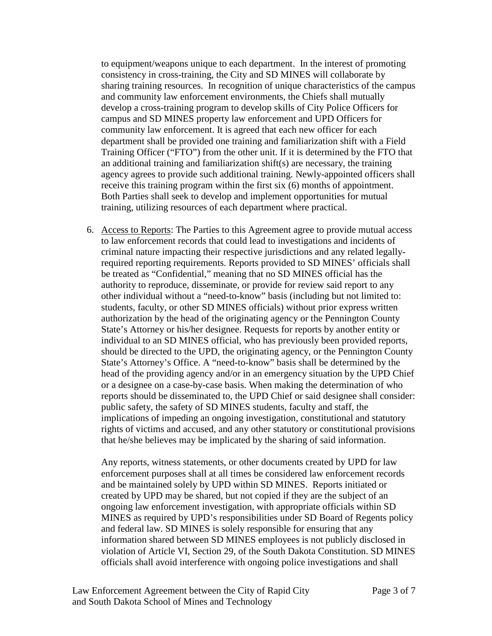to equipment/weapons unique to each department. In the interest of promoting consistency in cross-training, the City and SD MINES will collaborate by sharing training resources. In recognition of unique characteristics of the campus and community law enforcement environments, the Chiefs shall mutually develop a cross-training program to develop skills of City Police Officers for campus and SD MINES property law enforcement and UPD Officers for community law enforcement. It is agreed that each new officer for each department shall be provided one training and familiarization shift with a Field Training Officer ("FTO") from the other unit. If it is determined by the FTO that an additional training and familiarization shift(s) are necessary, the training agency agrees to provide such additional training. Newly-appointed officers shall receive this training program within the first six (6) months of appointment. Both Parties shall seek to develop and implement opportunities for mutual training, utilizing resources of each department where practical.

6. Access to Reports: The Parties to this Agreement agree to provide mutual access to law enforcement records that could lead to investigations and incidents of criminal nature impacting their respective jurisdictions and any related legallyrequired reporting requirements. Reports provided to SD MINES' officials shall be treated as "Confidential," meaning that no SD MINES official has the authority to reproduce, disseminate, or provide for review said report to any other individual without a "need-to-know" basis (including but not limited to: students, faculty, or other SD MINES officials) without prior express written authorization by the head of the originating agency or the Pennington County State's Attorney or his/her designee. Requests for reports by another entity or individual to an SD MINES official, who has previously been provided reports, should be directed to the UPD, the originating agency, or the Pennington County State's Attorney's Office. A "need-to-know" basis shall be determined by the head of the providing agency and/or in an emergency situation by the UPD Chief or a designee on a case-by-case basis. When making the determination of who reports should be disseminated to, the UPD Chief or said designee shall consider: public safety, the safety of SD MINES students, faculty and staff, the implications of impeding an ongoing investigation, constitutional and statutory rights of victims and accused, and any other statutory or constitutional provisions that he/she believes may be implicated by the sharing of said information.

Any reports, witness statements, or other documents created by UPD for law enforcement purposes shall at all times be considered law enforcement records and be maintained solely by UPD within SD MINES. Reports initiated or created by UPD may be shared, but not copied if they are the subject of an ongoing law enforcement investigation, with appropriate officials within SD MINES as required by UPD's responsibilities under SD Board of Regents policy and federal law. SD MINES is solely responsible for ensuring that any information shared between SD MINES employees is not publicly disclosed in violation of Article VI, Section 29, of the South Dakota Constitution. SD MINES officials shall avoid interference with ongoing police investigations and shall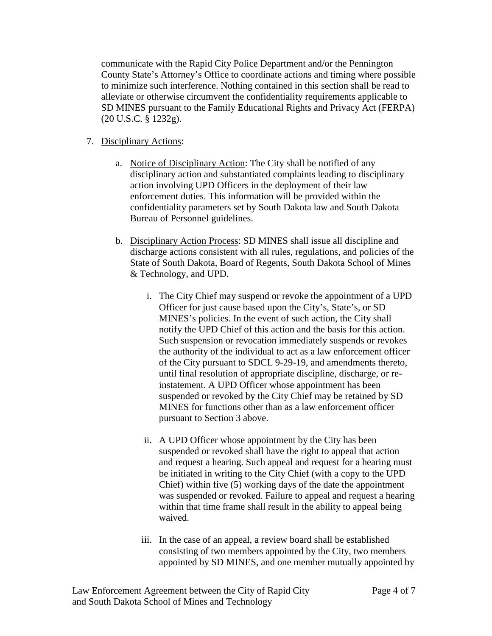communicate with the Rapid City Police Department and/or the Pennington County State's Attorney's Office to coordinate actions and timing where possible to minimize such interference. Nothing contained in this section shall be read to alleviate or otherwise circumvent the confidentiality requirements applicable to SD MINES pursuant to the Family Educational Rights and Privacy Act (FERPA) (20 U.S.C. § 1232g).

- 7. Disciplinary Actions:
	- a. Notice of Disciplinary Action: The City shall be notified of any disciplinary action and substantiated complaints leading to disciplinary action involving UPD Officers in the deployment of their law enforcement duties. This information will be provided within the confidentiality parameters set by South Dakota law and South Dakota Bureau of Personnel guidelines.
	- b. Disciplinary Action Process: SD MINES shall issue all discipline and discharge actions consistent with all rules, regulations, and policies of the State of South Dakota, Board of Regents, South Dakota School of Mines & Technology, and UPD.
		- i. The City Chief may suspend or revoke the appointment of a UPD Officer for just cause based upon the City's, State's, or SD MINES's policies. In the event of such action, the City shall notify the UPD Chief of this action and the basis for this action. Such suspension or revocation immediately suspends or revokes the authority of the individual to act as a law enforcement officer of the City pursuant to SDCL 9-29-19, and amendments thereto, until final resolution of appropriate discipline, discharge, or reinstatement. A UPD Officer whose appointment has been suspended or revoked by the City Chief may be retained by SD MINES for functions other than as a law enforcement officer pursuant to Section 3 above.
		- ii. A UPD Officer whose appointment by the City has been suspended or revoked shall have the right to appeal that action and request a hearing. Such appeal and request for a hearing must be initiated in writing to the City Chief (with a copy to the UPD Chief) within five (5) working days of the date the appointment was suspended or revoked. Failure to appeal and request a hearing within that time frame shall result in the ability to appeal being waived.
		- iii. In the case of an appeal, a review board shall be established consisting of two members appointed by the City, two members appointed by SD MINES, and one member mutually appointed by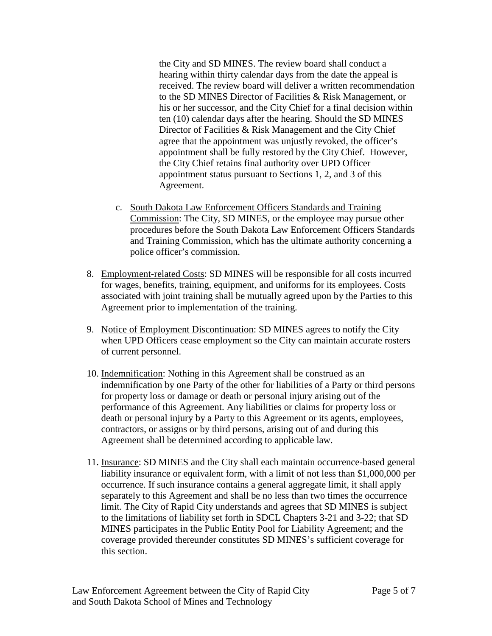the City and SD MINES. The review board shall conduct a hearing within thirty calendar days from the date the appeal is received. The review board will deliver a written recommendation to the SD MINES Director of Facilities & Risk Management, or his or her successor, and the City Chief for a final decision within ten (10) calendar days after the hearing. Should the SD MINES Director of Facilities & Risk Management and the City Chief agree that the appointment was unjustly revoked, the officer's appointment shall be fully restored by the City Chief. However, the City Chief retains final authority over UPD Officer appointment status pursuant to Sections 1, 2, and 3 of this Agreement.

- c. South Dakota Law Enforcement Officers Standards and Training Commission: The City, SD MINES, or the employee may pursue other procedures before the South Dakota Law Enforcement Officers Standards and Training Commission, which has the ultimate authority concerning a police officer's commission.
- 8. Employment-related Costs: SD MINES will be responsible for all costs incurred for wages, benefits, training, equipment, and uniforms for its employees. Costs associated with joint training shall be mutually agreed upon by the Parties to this Agreement prior to implementation of the training.
- 9. Notice of Employment Discontinuation: SD MINES agrees to notify the City when UPD Officers cease employment so the City can maintain accurate rosters of current personnel.
- 10. Indemnification: Nothing in this Agreement shall be construed as an indemnification by one Party of the other for liabilities of a Party or third persons for property loss or damage or death or personal injury arising out of the performance of this Agreement. Any liabilities or claims for property loss or death or personal injury by a Party to this Agreement or its agents, employees, contractors, or assigns or by third persons, arising out of and during this Agreement shall be determined according to applicable law.
- 11. Insurance: SD MINES and the City shall each maintain occurrence-based general liability insurance or equivalent form, with a limit of not less than \$1,000,000 per occurrence. If such insurance contains a general aggregate limit, it shall apply separately to this Agreement and shall be no less than two times the occurrence limit. The City of Rapid City understands and agrees that SD MINES is subject to the limitations of liability set forth in SDCL Chapters 3-21 and 3-22; that SD MINES participates in the Public Entity Pool for Liability Agreement; and the coverage provided thereunder constitutes SD MINES's sufficient coverage for this section.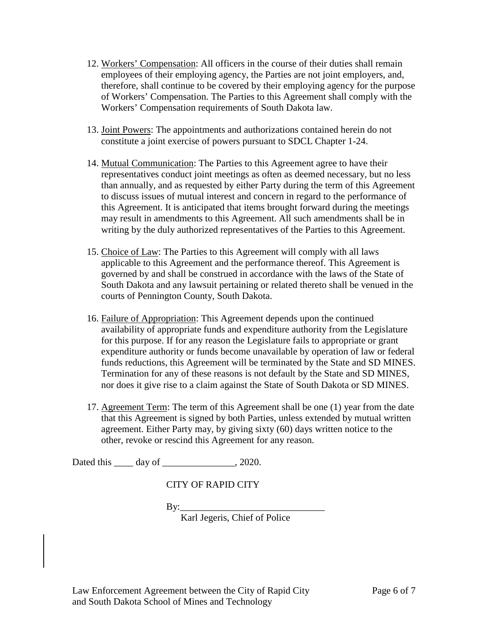- 12. Workers' Compensation: All officers in the course of their duties shall remain employees of their employing agency, the Parties are not joint employers, and, therefore, shall continue to be covered by their employing agency for the purpose of Workers' Compensation. The Parties to this Agreement shall comply with the Workers' Compensation requirements of South Dakota law.
- 13. Joint Powers: The appointments and authorizations contained herein do not constitute a joint exercise of powers pursuant to SDCL Chapter 1-24.
- 14. Mutual Communication: The Parties to this Agreement agree to have their representatives conduct joint meetings as often as deemed necessary, but no less than annually, and as requested by either Party during the term of this Agreement to discuss issues of mutual interest and concern in regard to the performance of this Agreement. It is anticipated that items brought forward during the meetings may result in amendments to this Agreement. All such amendments shall be in writing by the duly authorized representatives of the Parties to this Agreement.
- 15. Choice of Law: The Parties to this Agreement will comply with all laws applicable to this Agreement and the performance thereof. This Agreement is governed by and shall be construed in accordance with the laws of the State of South Dakota and any lawsuit pertaining or related thereto shall be venued in the courts of Pennington County, South Dakota.
- 16. Failure of Appropriation: This Agreement depends upon the continued availability of appropriate funds and expenditure authority from the Legislature for this purpose. If for any reason the Legislature fails to appropriate or grant expenditure authority or funds become unavailable by operation of law or federal funds reductions, this Agreement will be terminated by the State and SD MINES. Termination for any of these reasons is not default by the State and SD MINES, nor does it give rise to a claim against the State of South Dakota or SD MINES.
- 17. Agreement Term: The term of this Agreement shall be one (1) year from the date that this Agreement is signed by both Parties, unless extended by mutual written agreement. Either Party may, by giving sixty (60) days written notice to the other, revoke or rescind this Agreement for any reason.

Dated this \_\_\_\_\_ day of \_\_\_\_\_\_\_\_\_\_\_\_\_\_\_, 2020.

CITY OF RAPID CITY

 $By:$ 

Karl Jegeris, Chief of Police